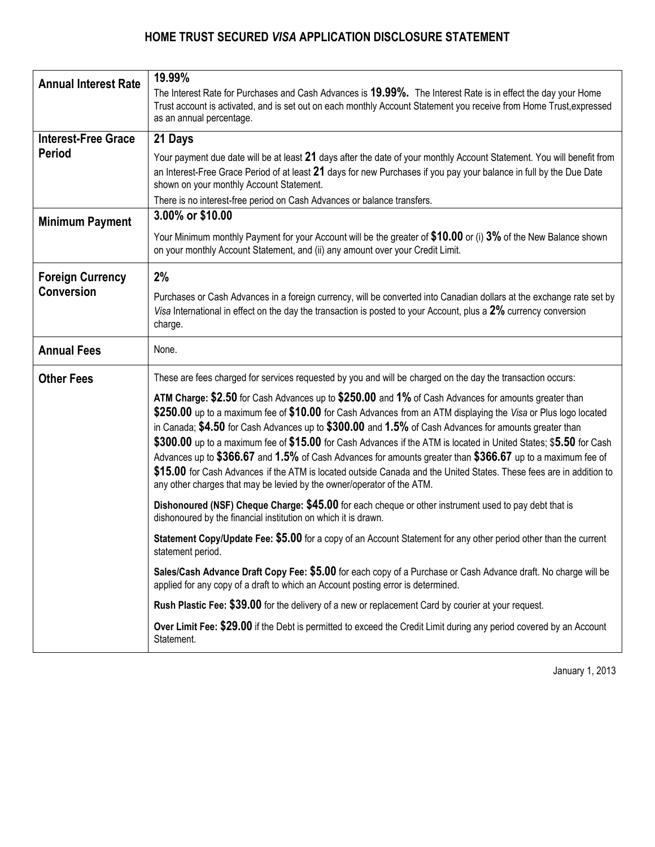

# **Secured** *Visa* **Card Application** \*

### **TELL US ABOUT YOURSELF**

| $\Box$ MR. $\Box$ MRS. $\Box$ MISS $\Box$ MS. $\Box$ DR. $\Box$ OTHER |                                               |                                    |                   |                             |                  |                             |                    |                           |            |  |
|-----------------------------------------------------------------------|-----------------------------------------------|------------------------------------|-------------------|-----------------------------|------------------|-----------------------------|--------------------|---------------------------|------------|--|
| <b>FIRST NAME</b>                                                     |                                               | <b>INITIAL</b><br><b>LAST NAME</b> |                   |                             |                  | <b>MOTHER'S MAIDEN NAME</b> |                    |                           |            |  |
|                                                                       |                                               |                                    |                   |                             |                  |                             |                    |                           |            |  |
| <b>HOME ADDRESS</b>                                                   |                                               |                                    | APT. NO.          | <b>CITY</b>                 |                  |                             | PROVINCE           | <b>POSTAL CODE</b>        | # OF YEARS |  |
|                                                                       |                                               |                                    |                   |                             |                  |                             |                    |                           |            |  |
| <b>PREVIOUS ADDRESS IF LESS THAN 2 YEARS</b>                          |                                               |                                    | APT. NO.          | <b>CITY</b>                 |                  |                             | PROVINCE           | <b>POSTAL CODE</b>        | # OF YEARS |  |
|                                                                       |                                               |                                    |                   |                             |                  |                             |                    |                           |            |  |
| SOCIAL INSURANCE NUMBER (Optional)                                    | <b>DATE OF BIRTH</b><br><b>HOME TELEPHONE</b> |                                    |                   | <b>MOBILE TELEPHONE</b>     |                  | <b>EMAIL ADDRESS</b>        |                    |                           |            |  |
|                                                                       |                                               |                                    |                   |                             |                  |                             |                    |                           |            |  |
| PRIMARY GOVERNMENT ISSUED PHOTO ID** (MANDATORY)                      |                                               |                                    |                   |                             |                  |                             |                    |                           |            |  |
| <b>TYPE OF ID</b>                                                     | ID#                                           |                                    |                   | PLACE OF ISSUE              |                  |                             | <b>EXPIRY DATE</b> |                           |            |  |
| SECONDARY ID (MANDATORY)                                              |                                               |                                    |                   |                             |                  |                             |                    |                           |            |  |
| <b>TYPE OF ID</b>                                                     | ID#                                           |                                    |                   |                             | PLACE OF ISSUE   |                             |                    | <b>EXPIRY DATE</b>        |            |  |
| SELF-EMPLOYED FULL TIME PART TIME SEASONAL STUDENT<br>RETIRED         |                                               |                                    |                   | MONTHLY INCOME (BEFORE TAX) | SOURCE OF INCOME |                             |                    |                           |            |  |
|                                                                       |                                               |                                    |                   |                             |                  |                             |                    |                           |            |  |
| <b>CURRENT EMPLOYER NAME</b>                                          |                                               |                                    | <b>OCCUPATION</b> |                             |                  |                             |                    | <b>BUSINESS TELEPHONE</b> | # OF YEARS |  |
|                                                                       |                                               |                                    |                   |                             |                  |                             |                    |                           |            |  |
| <b>EMPLOYER'S ADDRESS</b>                                             |                                               |                                    | <b>SUITE NO.</b>  | <b>CITY</b>                 |                  |                             | PROVINCE           | <b>POSTAL CODE</b>        |            |  |
|                                                                       |                                               |                                    |                   |                             |                  |                             |                    |                           |            |  |

**\*\* Valid Photo IDs include a current Provincial Driver's License, Canadian Passport or Certificate of Canadian Citizenship. Other acceptable IDs include a Birth Certificate or Social Insurance Card.**

**I certify the above information is correct and I consent to collection and use of credit and personal information as set out below. Please read the terms and disclosures included with this application. By signing this application you agree to these terms.**

 of card services. You and those parties may use Information to identify me, understand my needs and eligibility for this application and Personal Information: You may collect credit, identity and financially related information about me during the course of my<br>relationship with you from credit bureau, other financial institutions, references and by contacti disclose Information to credit bureau, financial institutions, *Visa* Canada and *Visa* International and their agents and to outside providers for card and other services and to recommend and market particular products and services.

Information collected will be kept in a separate customer file managed by Home Trust Company at its offices in Toronto, Ontario. I have a right to access this Information. I may obtain your privacy code, ask you to correct Information, or tell you to stop using Information for any of these purposes at any time by calling you toll free at 1-866-817-7719 or by sending a written request to 145 King Street West, Suite 2300, ATTN Secured *Visa* Department, Toronto, Ontario, M5H 1J8.

Card Account: Please open a Home Trust Visa Account in my name ("Account"), issue me card(s), and Personal Identification<br>Number(s). I will be bound by the Cardholder Agreement you will send me, as amended or replaced from applied for will prove I have received and read it. I will ensure that all Co-Applicants and authorized users review the Cardholder Agreement, other agreements and program terms you will send me. Credit will be extended upon approval of this application.

**Please note that the Home Trust Secured** *Visa* **Card is not available to residents of the Province of Québec.**

I/We the undersigned hereby declare that I/We are not acting on behalf of a third party and Initial **that the account referred to herein does not have any beneficial owners.** 

**SECURITY DEPOSIT AMOUNT: \$ \_\_\_\_\_\_\_\_\_\_\_\_\_\_\_\_\_\_\_\_\_\_\_\_\_\_\_\_ (Minimum \$500; Maximum \$10,000)**

Your credit limit is set at the amount of your Security Deposit. All funds must be made payable to "Home Trust Company". WE WILL NOT ACCEPT CASH, WESTERN UNION OR POSTAL MONEY ORDERS. We accept PERSONAL or PERSONAL CERTIFIED CHEQUE, MONEY ORDER, or BANK DRAFT from a Canadian Financial Institution.

**I apply for the Home Trust** *Visa* **Account and agree to the terms and disclosures included with this application.** 

#### Signature \_\_\_\_\_\_\_\_\_\_\_\_\_\_\_\_\_\_\_\_\_\_\_\_\_\_\_\_\_\_\_\_\_\_\_\_\_\_\_\_\_\_\_\_\_\_\_\_\_\_\_\_\_\_\_\_\_\_\_\_\_\_\_\_\_\_\_\_\_\_\_\_\_\_\_\_\_\_\_\_\_\_\_\_\_\_\_\_\_\_\_\_\_\_\_\_\_\_\_\_\_\_\_\_\_\_\_\_\_\_\_\_\_\_\_\_\_\_\_\_\_\_\_\_\_\_\_\_\_\_\_ Date \_\_\_\_\_\_\_\_\_\_\_\_\_\_\_\_\_\_\_\_\_\_\_\_\_\_\_\_\_\_\_\_\_\_\_\_\_\_\_\_\_\_

#### **NOTE TO APPLICANTS:**

- Bankruptcy: This product is not available to those who are currently bankrupt. Applicants recently discharged from bankruptcy must include their "Certificate of Discharge" with their completed application.
- Judgments appearing on an applicant's credit bureau must be repaid or satisfied prior to applying for credit.
- Consumer Proposal: Applicants who have made a consumer proposal to creditors must provide a letter from their trustee stating that a proposal has been filed, accepted by creditors, and is in good standing.

**Mail your completed Application and your Security Deposit to: Home Trust Company, Attn: Secured** *Visa* **Department 145 King Street West, Suite 2300, Toronto ON M5H 1J8** 

REFERRAL CODE # 2021936/11432